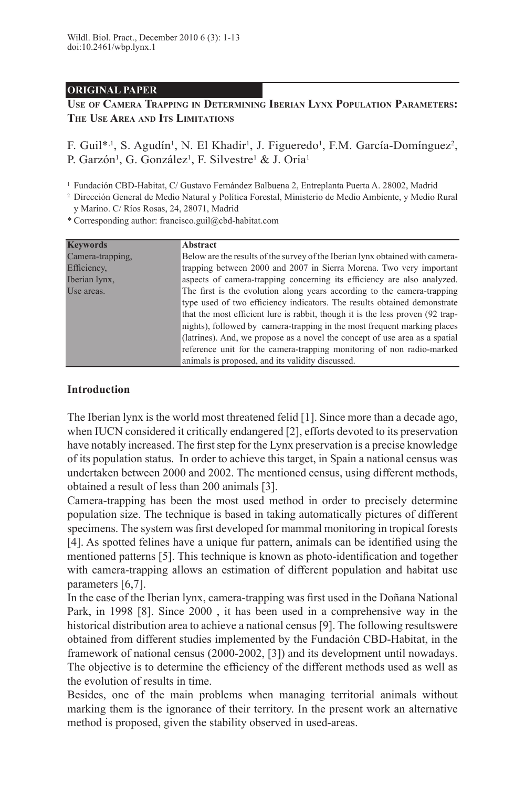# **ORIGINAL PAPER**

# **Use of Camera Trapping in Determining Iberian Lynx Population Parameters: The Use Area and Its Limitations**

F. Guil<sup>\*,1</sup>, S. Agudín<sup>1</sup>, N. El Khadir<sup>1</sup>, J. Figueredo<sup>1</sup>, F.M. García-Domínguez<sup>2</sup>, P. Garzón<sup>1</sup>, G. González<sup>1</sup>, F. Silvestre<sup>1</sup> & J. Oria<sup>1</sup>

<sup>1</sup> Fundación CBD-Habitat, C/ Gustavo Fernández Balbuena 2, Entreplanta Puerta A. 28002, Madrid

<sup>2</sup> Dirección General de Medio Natural y Política Forestal, Ministerio de Medio Ambiente, y Medio Rural y Marino. C/ Ríos Rosas, 24, 28071, Madrid

\* Corresponding author: francisco.guil@cbd-habitat.com

| <b>Keywords</b>  | Abstract                                                                       |
|------------------|--------------------------------------------------------------------------------|
| Camera-trapping. | Below are the results of the survey of the Iberian lynx obtained with camera-  |
| Efficiency,      | trapping between 2000 and 2007 in Sierra Morena. Two very important            |
| Iberian lynx,    | aspects of camera-trapping concerning its efficiency are also analyzed.        |
| Use areas.       | The first is the evolution along years according to the camera-trapping        |
|                  | type used of two efficiency indicators. The results obtained demonstrate       |
|                  | that the most efficient lure is rabbit, though it is the less proven (92 trap- |
|                  | nights), followed by camera-trapping in the most frequent marking places       |
|                  | (latrines). And, we propose as a novel the concept of use area as a spatial    |
|                  | reference unit for the camera-trapping monitoring of non radio-marked          |
|                  | animals is proposed, and its validity discussed.                               |

# **Introduction**

The Iberian lynx is the world most threatened felid [1]. Since more than a decade ago, when IUCN considered it critically endangered [2], efforts devoted to its preservation have notably increased. The first step for the Lynx preservation is a precise knowledge of its population status. In order to achieve this target, in Spain a national census was undertaken between 2000 and 2002. The mentioned census, using different methods, obtained a result of less than 200 animals [3].

Camera-trapping has been the most used method in order to precisely determine population size. The technique is based in taking automatically pictures of different specimens. The system was first developed for mammal monitoring in tropical forests [4]. As spotted felines have a unique fur pattern, animals can be identified using the mentioned patterns [5]. This technique is known as photo-identification and together with camera-trapping allows an estimation of different population and habitat use parameters [6,7].

In the case of the Iberian lynx, camera-trapping was first used in the Doñana National Park, in 1998 [8]. Since 2000 , it has been used in a comprehensive way in the historical distribution area to achieve a national census [9]. The following resultswere obtained from different studies implemented by the Fundación CBD-Habitat, in the framework of national census (2000-2002, [3]) and its development until nowadays. The objective is to determine the efficiency of the different methods used as well as the evolution of results in time.

Besides, one of the main problems when managing territorial animals without marking them is the ignorance of their territory. In the present work an alternative method is proposed, given the stability observed in used-areas.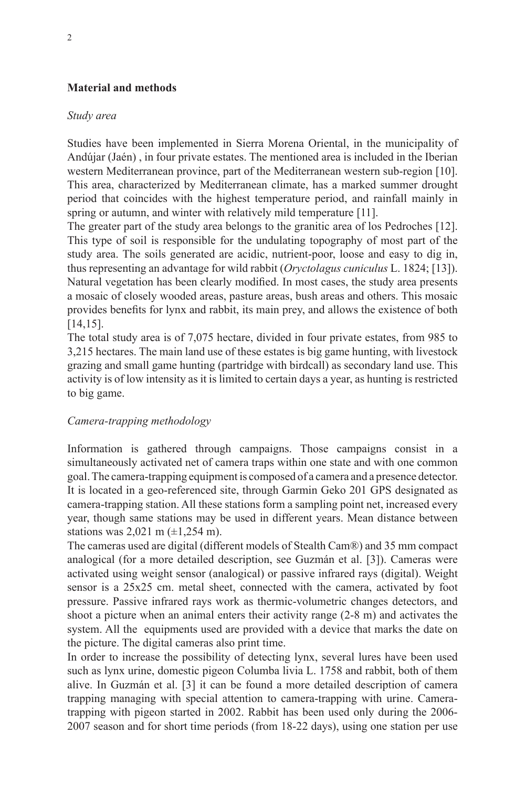# **Material and methods**

## *Study area*

Studies have been implemented in Sierra Morena Oriental, in the municipality of Andújar (Jaén) , in four private estates. The mentioned area is included in the Iberian western Mediterranean province, part of the Mediterranean western sub-region [10]. This area, characterized by Mediterranean climate, has a marked summer drought period that coincides with the highest temperature period, and rainfall mainly in spring or autumn, and winter with relatively mild temperature [11].

The greater part of the study area belongs to the granitic area of los Pedroches [12]. This type of soil is responsible for the undulating topography of most part of the study area. The soils generated are acidic, nutrient-poor, loose and easy to dig in, thus representing an advantage for wild rabbit (*Oryctolagus cuniculus* L. 1824; [13]). Natural vegetation has been clearly modified. In most cases, the study area presents a mosaic of closely wooded areas, pasture areas, bush areas and others. This mosaic provides benefits for lynx and rabbit, its main prey, and allows the existence of both [14,15].

The total study area is of 7,075 hectare, divided in four private estates, from 985 to 3,215 hectares. The main land use of these estates is big game hunting, with livestock grazing and small game hunting (partridge with birdcall) as secondary land use. This activity is of low intensity as it is limited to certain days a year, as hunting is restricted to big game.

# *Camera-trapping methodology*

Information is gathered through campaigns. Those campaigns consist in a simultaneously activated net of camera traps within one state and with one common goal. The camera-trapping equipment is composed of a camera and a presence detector. It is located in a geo-referenced site, through Garmin Geko 201 GPS designated as camera-trapping station. All these stations form a sampling point net, increased every year, though same stations may be used in different years. Mean distance between stations was  $2,021 \text{ m } (\pm 1,254 \text{ m})$ .

The cameras used are digital (different models of Stealth Cam®) and 35 mm compact analogical (for a more detailed description, see Guzmán et al. [3]). Cameras were activated using weight sensor (analogical) or passive infrared rays (digital). Weight sensor is a 25x25 cm. metal sheet, connected with the camera, activated by foot pressure. Passive infrared rays work as thermic-volumetric changes detectors, and shoot a picture when an animal enters their activity range (2-8 m) and activates the system. All the equipments used are provided with a device that marks the date on the picture. The digital cameras also print time.

In order to increase the possibility of detecting lynx, several lures have been used such as lynx urine, domestic pigeon Columba livia L. 1758 and rabbit, both of them alive. In Guzmán et al. [3] it can be found a more detailed description of camera trapping managing with special attention to camera-trapping with urine. Cameratrapping with pigeon started in 2002. Rabbit has been used only during the 2006- 2007 season and for short time periods (from 18-22 days), using one station per use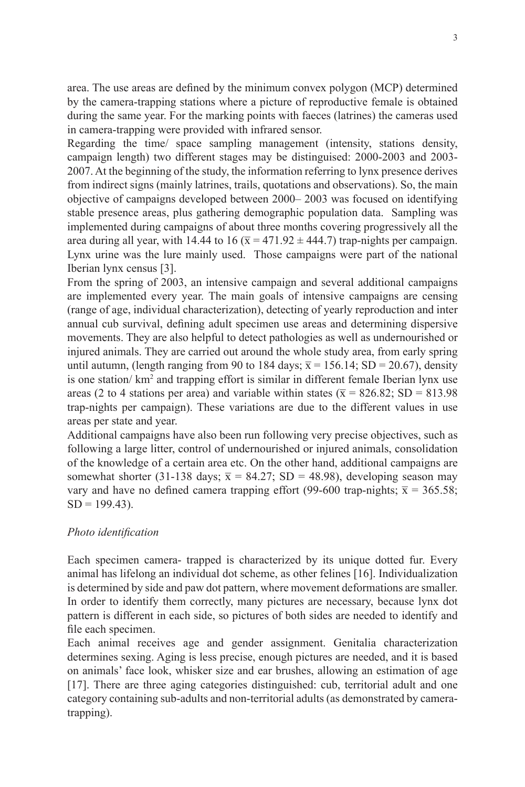area. The use areas are defined by the minimum convex polygon (MCP) determined by the camera-trapping stations where a picture of reproductive female is obtained during the same year. For the marking points with faeces (latrines) the cameras used in camera-trapping were provided with infrared sensor.

Regarding the time/ space sampling management (intensity, stations density, campaign length) two different stages may be distinguised: 2000-2003 and 2003- 2007. At the beginning of the study, the information referring to lynx presence derives from indirect signs (mainly latrines, trails, quotations and observations). So, the main objective of campaigns developed between 2000– 2003 was focused on identifying stable presence areas, plus gathering demographic population data. Sampling was implemented during campaigns of about three months covering progressively all the area during all year, with 14.44 to 16 ( $\overline{x}$  = 471.92  $\pm$  444.7) trap-nights per campaign. Lynx urine was the lure mainly used. Those campaigns were part of the national Iberian lynx census [3].

From the spring of 2003, an intensive campaign and several additional campaigns are implemented every year. The main goals of intensive campaigns are censing (range of age, individual characterization), detecting of yearly reproduction and inter annual cub survival, defining adult specimen use areas and determining dispersive movements. They are also helpful to detect pathologies as well as undernourished or injured animals. They are carried out around the whole study area, from early spring until autumn, (length ranging from 90 to 184 days;  $\bar{x}$  = 156.14; SD = 20.67), density is one station/ km<sup>2</sup> and trapping effort is similar in different female Iberian lynx use areas (2 to 4 stations per area) and variable within states ( $\bar{x}$  = 826.82; SD = 813.98 trap-nights per campaign). These variations are due to the different values in use areas per state and year.

Additional campaigns have also been run following very precise objectives, such as following a large litter, control of undernourished or injured animals, consolidation of the knowledge of a certain area etc. On the other hand, additional campaigns are somewhat shorter (31-138 days;  $\bar{x}$  = 84.27; SD = 48.98), developing season may vary and have no defined camera trapping effort (99-600 trap-nights;  $\bar{x}$  = 365.58;  $SD = 199.43$ ).

# *Photo identification*

Each specimen camera- trapped is characterized by its unique dotted fur. Every animal has lifelong an individual dot scheme, as other felines [16]. Individualization is determined by side and paw dot pattern, where movement deformations are smaller. In order to identify them correctly, many pictures are necessary, because lynx dot pattern is different in each side, so pictures of both sides are needed to identify and file each specimen.

Each animal receives age and gender assignment. Genitalia characterization determines sexing. Aging is less precise, enough pictures are needed, and it is based on animals' face look, whisker size and ear brushes, allowing an estimation of age [17]. There are three aging categories distinguished: cub, territorial adult and one category containing sub-adults and non-territorial adults (as demonstrated by cameratrapping).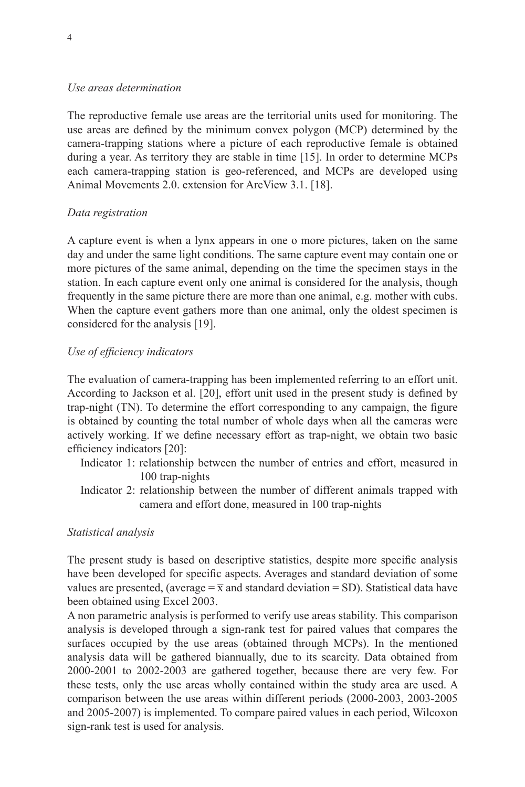## *Use areas determination*

The reproductive female use areas are the territorial units used for monitoring. The use areas are defined by the minimum convex polygon (MCP) determined by the camera-trapping stations where a picture of each reproductive female is obtained during a year. As territory they are stable in time [15]. In order to determine MCPs each camera-trapping station is geo-referenced, and MCPs are developed using Animal Movements 2.0. extension for ArcView 3.1. [18].

# *Data registration*

A capture event is when a lynx appears in one o more pictures, taken on the same day and under the same light conditions. The same capture event may contain one or more pictures of the same animal, depending on the time the specimen stays in the station. In each capture event only one animal is considered for the analysis, though frequently in the same picture there are more than one animal, e.g. mother with cubs. When the capture event gathers more than one animal, only the oldest specimen is considered for the analysis [19].

# *Use of efficiency indicators*

The evaluation of camera-trapping has been implemented referring to an effort unit. According to Jackson et al. [20], effort unit used in the present study is defined by trap-night (TN). To determine the effort corresponding to any campaign, the figure is obtained by counting the total number of whole days when all the cameras were actively working. If we define necessary effort as trap-night, we obtain two basic efficiency indicators [20]:

- Indicator 1: relationship between the number of entries and effort, measured in 100 trap-nights
- Indicator 2: relationship between the number of different animals trapped with camera and effort done, measured in 100 trap-nights

## *Statistical analysis*

The present study is based on descriptive statistics, despite more specific analysis have been developed for specific aspects. Averages and standard deviation of some values are presented, (average =  $\bar{x}$  and standard deviation = SD). Statistical data have been obtained using Excel 2003.

A non parametric analysis is performed to verify use areas stability. This comparison analysis is developed through a sign-rank test for paired values that compares the surfaces occupied by the use areas (obtained through MCPs). In the mentioned analysis data will be gathered biannually, due to its scarcity. Data obtained from 2000-2001 to 2002-2003 are gathered together, because there are very few. For these tests, only the use areas wholly contained within the study area are used. A comparison between the use areas within different periods (2000-2003, 2003-2005 and 2005-2007) is implemented. To compare paired values in each period, Wilcoxon sign-rank test is used for analysis.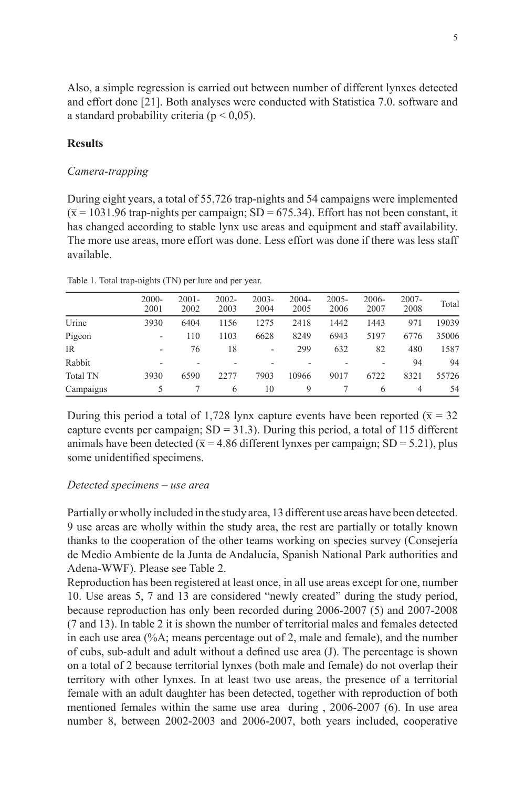Also, a simple regression is carried out between number of different lynxes detected and effort done [21]. Both analyses were conducted with Statistica 7.0. software and a standard probability criteria ( $p < 0.05$ ).

### **Results**

### *Camera-trapping*

During eight years, a total of 55,726 trap-nights and 54 campaigns were implemented  $(\bar{x} = 1031.96 \text{ trap-nights per campaign}; SD = 675.34)$ . Effort has not been constant, it has changed according to stable lynx use areas and equipment and staff availability. The more use areas, more effort was done. Less effort was done if there was less staff available.

|                 | $2000 -$<br>2001 | $2001 -$<br>2002 | $2002 -$<br>2003 | $2003 -$<br>2004 | 2004-<br>2005 | $2005 -$<br>2006 | 2006-<br>2007 | $2007 -$<br>2008 | Total |
|-----------------|------------------|------------------|------------------|------------------|---------------|------------------|---------------|------------------|-------|
| Urine           | 3930             | 6404             | 1156             | 1275             | 2418          | 1442             | 1443          | 971              | 19039 |
| Pigeon          | ۰                | 110              | 1103             | 6628             | 8249          | 6943             | 5197          | 6776             | 35006 |
| IR.             | ۰                | 76               | 18               | ۰                | 299           | 632              | 82            | 480              | 1587  |
| Rabbit          |                  |                  |                  |                  |               |                  | ۰             | 94               | 94    |
| <b>Total TN</b> | 3930             | 6590             | 2277             | 7903             | 10966         | 9017             | 6722          | 8321             | 55726 |
| Campaigns       |                  |                  | 6                | 10               | 9             |                  | 6             | 4                | 54    |

Table 1. Total trap-nights (TN) per lure and per year.

During this period a total of 1,728 lynx capture events have been reported ( $\bar{x}$  = 32 capture events per campaign;  $SD = 31.3$ ). During this period, a total of 115 different animals have been detected ( $\bar{x}$  = 4.86 different lynxes per campaign; SD = 5.21), plus some unidentified specimens.

#### *Detected specimens – use area*

Partially or wholly included in the study area, 13 different use areas have been detected. 9 use areas are wholly within the study area, the rest are partially or totally known thanks to the cooperation of the other teams working on species survey (Consejería de Medio Ambiente de la Junta de Andalucía, Spanish National Park authorities and Adena-WWF). Please see Table 2.

Reproduction has been registered at least once, in all use areas except for one, number 10. Use areas 5, 7 and 13 are considered "newly created" during the study period, because reproduction has only been recorded during 2006-2007 (5) and 2007-2008 (7 and 13). In table 2 it is shown the number of territorial males and females detected in each use area (%A; means percentage out of 2, male and female), and the number of cubs, sub-adult and adult without a defined use area (J). The percentage is shown on a total of 2 because territorial lynxes (both male and female) do not overlap their territory with other lynxes. In at least two use areas, the presence of a territorial female with an adult daughter has been detected, together with reproduction of both mentioned females within the same use area during , 2006-2007 (6). In use area number 8, between 2002-2003 and 2006-2007, both years included, cooperative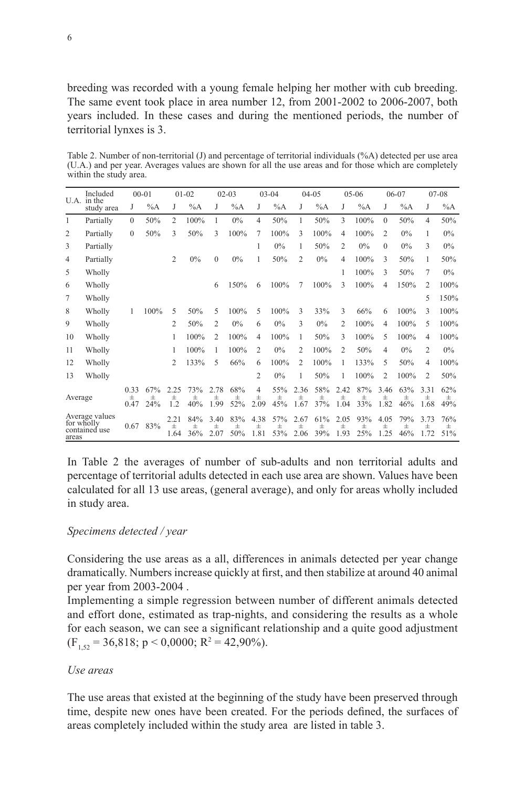Table 2. Number of non-territorial (J) and percentage of territorial individuals (%A) detected per use area (U.A.) and per year. Averages values are shown for all the use areas and for those which are completely within the study area.

| Included<br>U.A. in the |                                               | $00 - 01$         |                     | $01 - 02$             |                 | $02 - 03$             |                 | $03 - 04$         |                     | $04 - 05$         |                 | $05 - 06$         |                 | $06-07$               |                     | $07 - 08$             |                        |
|-------------------------|-----------------------------------------------|-------------------|---------------------|-----------------------|-----------------|-----------------------|-----------------|-------------------|---------------------|-------------------|-----------------|-------------------|-----------------|-----------------------|---------------------|-----------------------|------------------------|
|                         | study area                                    | J                 | $\%A$               | J                     | $\%A$           | J                     | $\%A$           | J                 | $\%A$               | J                 | $\%A$           | J                 | $\%A$           | J                     | $\%A$               | J                     | %A                     |
| 1                       | Partially                                     | $\Omega$          | 50%                 | $\overline{c}$        | 100%            | 1                     | $0\%$           | 4                 | 50%                 | 1                 | 50%             | 3                 | 100%            | $\Omega$              | 50%                 | 4                     | 50%                    |
| 2                       | Partially                                     | $\Omega$          | 50%                 | 3                     | 50%             | 3                     | 100%            | 7                 | 100%                | 3                 | 100%            | 4                 | 100%            | 2                     | 0%                  |                       | $0\%$                  |
| 3                       | Partially                                     |                   |                     |                       |                 |                       |                 |                   | 0%                  |                   | 50%             | 2                 | 0%              | 0                     | $0\%$               | 3                     | $0\%$                  |
| $\overline{4}$          | Partially                                     |                   |                     | $\overline{2}$        | $0\%$           | $\Omega$              | 0%              | 1                 | 50%                 | 2                 | 0%              | 4                 | 100%            | 3                     | 50%                 |                       | 50%                    |
| 5                       | Wholly                                        |                   |                     |                       |                 |                       |                 |                   |                     |                   |                 |                   | 100%            | 3                     | 50%                 |                       | $0\%$                  |
| 6                       | Wholly                                        |                   |                     |                       |                 | 6                     | 150%            | 6                 | 100%                | 7                 | 100%            | 3                 | 100%            | 4                     | 150%                | 2                     | 100%                   |
| 7                       | Wholly                                        |                   |                     |                       |                 |                       |                 |                   |                     |                   |                 |                   |                 |                       |                     | 5                     | 150%                   |
| 8                       | Wholly                                        |                   | 100%                | 5                     | 50%             | 5                     | 100%            | 5                 | 100%                | 3                 | 33%             | 3                 | 66%             | 6                     | 100%                | 3                     | 100%                   |
| 9                       | Wholly                                        |                   |                     | 2                     | 50%             | 2                     | $0\%$           | 6                 | 0%                  | 3                 | $0\%$           | 2                 | 100%            | 4                     | 100%                | 5                     | 100%                   |
| 10                      | Wholly                                        |                   |                     | 1                     | 100%            | 2                     | 100%            | 4                 | 100%                | 1                 | 50%             | 3                 | 100%            | 5                     | 100%                | 4                     | 100%                   |
| 11                      | Wholly                                        |                   |                     | 1                     | 100%            | 1                     | 100%            | 2                 | $0\%$               | 2                 | 100%            | 2                 | 50%             | 4                     | 0%                  | 2                     | $0\%$                  |
| 12                      | Wholly                                        |                   |                     | 2                     | 133%            | 5                     | 66%             | 6                 | 100%                | $\overline{c}$    | 100%            | 1                 | 133%            | 5                     | 50%                 | 4                     | 100%                   |
| 13                      | Wholly                                        |                   |                     |                       |                 |                       |                 | 2                 | $0\%$               | 1                 | 50%             | 1                 | 100%            | 2                     | 100%                | 2                     | 50%                    |
| Average                 |                                               | 0.33<br>士<br>0.47 | 67%<br>$\pm$<br>24% | 2.25<br>$\pm$<br>1.2  | 73%<br>Ŧ<br>40% | 2.78<br>$\pm$<br>1.99 | 68%<br>士<br>52% | 4<br>士<br>2.09    | 55%<br>$\pm$<br>45% | 2.36<br>士<br>1.67 | 58%<br>Ŧ<br>37% | 2.42<br>士<br>1.04 | 87%<br>Ŧ<br>33% | 3.46<br>$\pm$<br>1.82 | 63%<br>$\pm$<br>46% | 3.31<br>$\pm$<br>1.68 | 62%<br>$_{\pm}$<br>49% |
| areas                   | Average values<br>for wholly<br>contained use | 0.67              | 83%                 | 2.21<br>$\pm$<br>1.64 | 84%<br>士<br>36% | 3.40<br>Ŧ<br>2.07     | 83%<br>士<br>50% | 4.38<br>士<br>1.81 | 57%<br>$\pm$<br>53% | 2.67<br>士<br>2.06 | 61%<br>士<br>39% | 2.05<br>士<br>1.93 | 93%<br>士<br>25% | 4.05<br>士<br>1.25     | 79%<br>士<br>46%     | 3.73<br>士<br>1.72     | 76%<br>士<br>51%        |

In Table 2 the averages of number of sub-adults and non territorial adults and percentage of territorial adults detected in each use area are shown. Values have been calculated for all 13 use areas, (general average), and only for areas wholly included in study area.

# *Specimens detected / year*

Considering the use areas as a all, differences in animals detected per year change dramatically. Numbers increase quickly at first, and then stabilize at around 40 animal per year from 2003-2004 .

Implementing a simple regression between number of different animals detected and effort done, estimated as trap-nights, and considering the results as a whole for each season, we can see a significant relationship and a quite good adjustment  $(F_{1,52} = 36,818; p < 0,0000; R^2 = 42,90\%).$ 

## *Use areas*

The use areas that existed at the beginning of the study have been preserved through time, despite new ones have been created. For the periods defined, the surfaces of areas completely included within the study area are listed in table 3.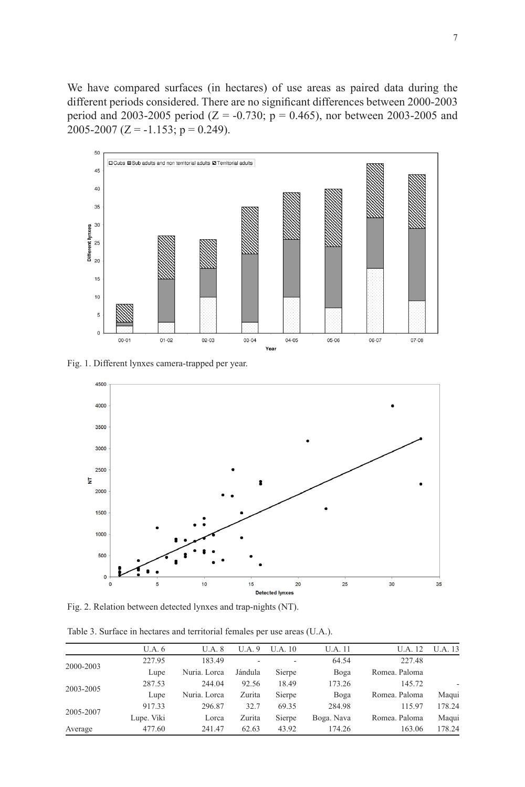We have compared surfaces (in hectares) of use areas as paired data during the different periods considered. There are no significant differences between 2000-2003 period and 2003-2005 period ( $Z = -0.730$ ; p = 0.465), nor between 2003-2005 and  $2005-2007$  (Z = -1.153; p = 0.249).



Fig. 1. Different lynxes camera-trapped per year.



Fig. 2. Relation between detected lynxes and trap-nights (NT).

|  |  |  | Table 3. Surface in hectares and territorial females per use areas (U.A.). |
|--|--|--|----------------------------------------------------------------------------|
|--|--|--|----------------------------------------------------------------------------|

| U.A. 6     | <b>U.A.</b> 8 | U.A.9   | <b>U.A.</b> 10           | <b>U.A.</b> 11 | <b>U.A.</b> 12 | <b>U.A.</b> 13 |
|------------|---------------|---------|--------------------------|----------------|----------------|----------------|
| 227.95     | 183.49        | -       | $\overline{\phantom{a}}$ | 64.54          | 227.48         |                |
| Lupe       | Nuria. Lorca  | Jándula | Sierpe                   | Boga           | Romea, Paloma  |                |
| 287.53     | 244.04        | 92.56   | 18.49                    | 173.26         | 145.72         |                |
| Lupe       | Nuria. Lorca  | Zurita  | Sierpe                   | Boga           | Romea, Paloma  | Maqui          |
| 917.33     | 296.87        | 32.7    | 69.35                    | 284.98         | 115.97         | 178.24         |
| Lupe. Viki | Lorca         | Zurita  | Sierpe                   | Boga. Nava     | Romea, Paloma  | Maqui          |
| 477.60     | 241.47        | 62.63   | 43.92                    | 174.26         | 163.06         | 178.24         |
|            |               |         |                          |                |                |                |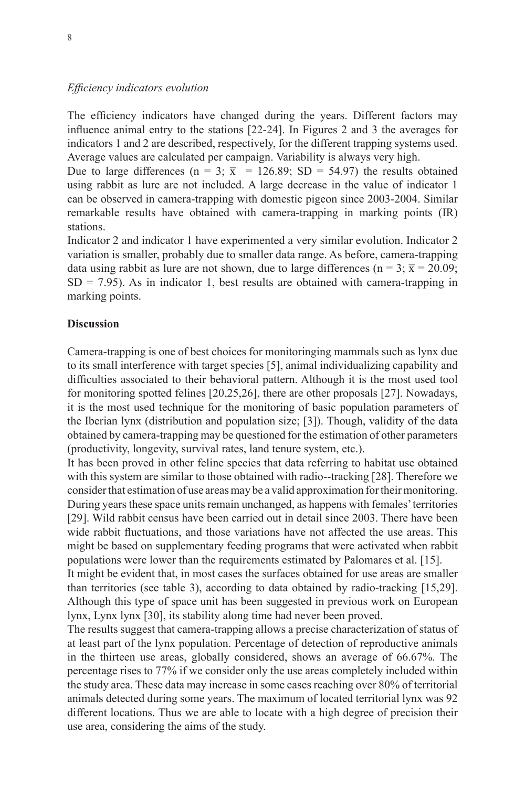#### *Efficiency indicators evolution*

The efficiency indicators have changed during the years. Different factors may influence animal entry to the stations [22-24]. In Figures 2 and 3 the averages for indicators 1 and 2 are described, respectively, for the different trapping systems used. Average values are calculated per campaign. Variability is always very high.

Due to large differences (n = 3;  $\bar{x}$  = 126.89; SD = 54.97) the results obtained using rabbit as lure are not included. A large decrease in the value of indicator 1 can be observed in camera-trapping with domestic pigeon since 2003-2004. Similar remarkable results have obtained with camera-trapping in marking points (IR) stations.

Indicator 2 and indicator 1 have experimented a very similar evolution. Indicator 2 variation is smaller, probably due to smaller data range. As before, camera-trapping data using rabbit as lure are not shown, due to large differences (n = 3;  $\bar{x}$  = 20.09;  $SD = 7.95$ ). As in indicator 1, best results are obtained with camera-trapping in marking points.

## **Discussion**

Camera-trapping is one of best choices for monitoringing mammals such as lynx due to its small interference with target species [5], animal individualizing capability and difficulties associated to their behavioral pattern. Although it is the most used tool for monitoring spotted felines [20,25,26], there are other proposals [27]. Nowadays, it is the most used technique for the monitoring of basic population parameters of the Iberian lynx (distribution and population size; [3]). Though, validity of the data obtained by camera-trapping may be questioned for the estimation of other parameters (productivity, longevity, survival rates, land tenure system, etc.).

It has been proved in other feline species that data referring to habitat use obtained with this system are similar to those obtained with radio--tracking [28]. Therefore we consider that estimation of use areas may be a valid approximation for their monitoring. During years these space units remain unchanged, as happens with females' territories [29]. Wild rabbit census have been carried out in detail since 2003. There have been wide rabbit fluctuations, and those variations have not affected the use areas. This might be based on supplementary feeding programs that were activated when rabbit populations were lower than the requirements estimated by Palomares et al. [15].

It might be evident that, in most cases the surfaces obtained for use areas are smaller than territories (see table 3), according to data obtained by radio-tracking [15,29]. Although this type of space unit has been suggested in previous work on European lynx, Lynx lynx [30], its stability along time had never been proved.

The results suggest that camera-trapping allows a precise characterization of status of at least part of the lynx population. Percentage of detection of reproductive animals in the thirteen use areas, globally considered, shows an average of 66.67%. The percentage rises to 77% if we consider only the use areas completely included within the study area. These data may increase in some cases reaching over 80% of territorial animals detected during some years. The maximum of located territorial lynx was 92 different locations. Thus we are able to locate with a high degree of precision their use area, considering the aims of the study.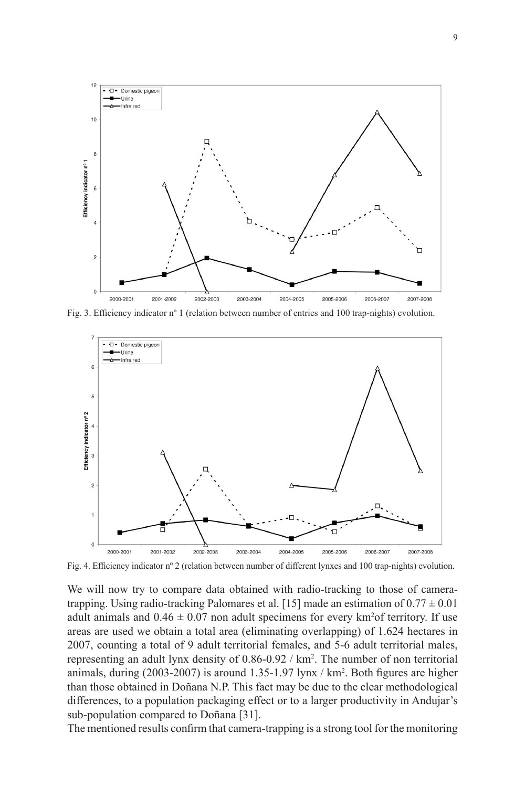

Fig. 3. Efficiency indicator nº 1 (relation between number of entries and 100 trap-nights) evolution.



Fig. 4. Efficiency indicator nº 2 (relation between number of different lynxes and 100 trap-nights) evolution.

We will now try to compare data obtained with radio-tracking to those of cameratrapping. Using radio-tracking Palomares et al. [15] made an estimation of  $0.77 \pm 0.01$ adult animals and  $0.46 \pm 0.07$  non adult specimens for every km<sup>2</sup>of territory. If use areas are used we obtain a total area (eliminating overlapping) of 1.624 hectares in 2007, counting a total of 9 adult territorial females, and 5-6 adult territorial males, representing an adult lynx density of 0.86-0.92 / km<sup>2</sup> . The number of non territorial animals, during (2003-2007) is around 1.35-1.97 lynx / km<sup>2</sup> . Both figures are higher than those obtained in Doñana N.P. This fact may be due to the clear methodological differences, to a population packaging effect or to a larger productivity in Andujar's sub-population compared to Doñana [31].

The mentioned results confirm that camera-trapping is a strong tool for the monitoring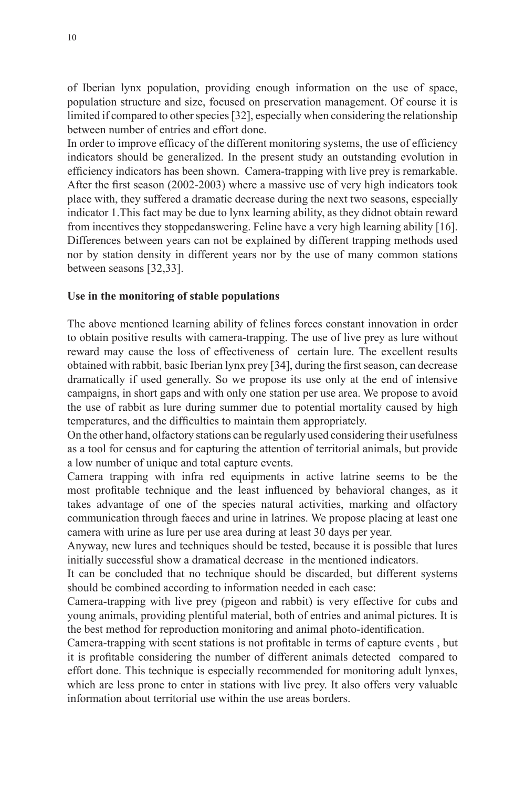of Iberian lynx population, providing enough information on the use of space, population structure and size, focused on preservation management. Of course it is limited if compared to other species [32], especially when considering the relationship between number of entries and effort done.

In order to improve efficacy of the different monitoring systems, the use of efficiency indicators should be generalized. In the present study an outstanding evolution in efficiency indicators has been shown. Camera-trapping with live prey is remarkable. After the first season (2002-2003) where a massive use of very high indicators took place with, they suffered a dramatic decrease during the next two seasons, especially indicator 1.This fact may be due to lynx learning ability, as they didnot obtain reward from incentives they stoppedanswering. Feline have a very high learning ability [16]. Differences between years can not be explained by different trapping methods used nor by station density in different years nor by the use of many common stations between seasons [32,33].

### **Use in the monitoring of stable populations**

The above mentioned learning ability of felines forces constant innovation in order to obtain positive results with camera-trapping. The use of live prey as lure without reward may cause the loss of effectiveness of certain lure. The excellent results obtained with rabbit, basic Iberian lynx prey [34], during the first season, can decrease dramatically if used generally. So we propose its use only at the end of intensive campaigns, in short gaps and with only one station per use area. We propose to avoid the use of rabbit as lure during summer due to potential mortality caused by high temperatures, and the difficulties to maintain them appropriately.

On the other hand, olfactory stations can be regularly used considering their usefulness as a tool for census and for capturing the attention of territorial animals, but provide a low number of unique and total capture events.

Camera trapping with infra red equipments in active latrine seems to be the most profitable technique and the least influenced by behavioral changes, as it takes advantage of one of the species natural activities, marking and olfactory communication through faeces and urine in latrines. We propose placing at least one camera with urine as lure per use area during at least 30 days per year.

Anyway, new lures and techniques should be tested, because it is possible that lures initially successful show a dramatical decrease in the mentioned indicators.

It can be concluded that no technique should be discarded, but different systems should be combined according to information needed in each case:

Camera-trapping with live prey (pigeon and rabbit) is very effective for cubs and young animals, providing plentiful material, both of entries and animal pictures. It is the best method for reproduction monitoring and animal photo-identification.

Camera-trapping with scent stations is not profitable in terms of capture events , but it is profitable considering the number of different animals detected compared to effort done. This technique is especially recommended for monitoring adult lynxes, which are less prone to enter in stations with live prey. It also offers very valuable information about territorial use within the use areas borders.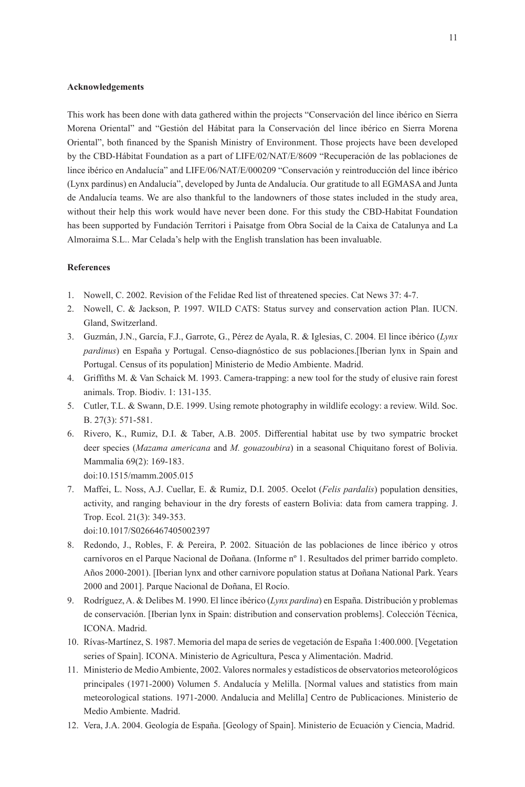#### **Acknowledgements**

This work has been done with data gathered within the projects "Conservación del lince ibérico en Sierra Morena Oriental" and "Gestión del Hábitat para la Conservación del lince ibérico en Sierra Morena Oriental", both financed by the Spanish Ministry of Environment. Those projects have been developed by the CBD-Hábitat Foundation as a part of LIFE/02/NAT/E/8609 "Recuperación de las poblaciones de lince ibérico en Andalucía" and LIFE/06/NAT/E/000209 "Conservación y reintroducción del lince ibérico (Lynx pardinus) en Andalucía", developed by Junta de Andalucía. Our gratitude to all EGMASA and Junta de Andalucía teams. We are also thankful to the landowners of those states included in the study area, without their help this work would have never been done. For this study the CBD-Habitat Foundation has been supported by Fundación Territori i Paisatge from Obra Social de la Caixa de Catalunya and La Almoraima S.L.. Mar Celada's help with the English translation has been invaluable.

#### **References**

- 1. Nowell, C. 2002. Revision of the Felidae Red list of threatened species. Cat News 37: 4-7.
- 2. Nowell, C. & Jackson, P. 1997. WILD CATS: Status survey and conservation action Plan. IUCN. Gland, Switzerland.
- 3. Guzmán, J.N., García, F.J., Garrote, G., Pérez de Ayala, R. & Iglesias, C. 2004. El lince ibérico (*Lynx pardinus*) en España y Portugal. Censo-diagnóstico de sus poblaciones.[Iberian lynx in Spain and Portugal. Census of its population] Ministerio de Medio Ambiente. Madrid.
- 4. Griffiths M. & Van Schaick M. 1993. Camera-trapping: a new tool for the study of elusive rain forest animals. Trop. Biodiv. 1: 131-135.
- 5. Cutler, T.L. & Swann, D.E. 1999. Using remote photography in wildlife ecology: a review. Wild. Soc. B. 27(3): 571-581.
- 6. Rivero, K., Rumiz, D.I. & Taber, A.B. 2005. Differential habitat use by two sympatric brocket deer species (*Mazama americana* and *M. gouazoubira*) in a seasonal Chiquitano forest of Bolivia. Mammalia 69(2): 169-183.
	- [doi:10.1515/mamm.2005.015](http://dx.doi.org/10.1515/mamm.2005.015)
- 7. Maffei, L. Noss, A.J. Cuellar, E. & Rumiz, D.I. 2005. Ocelot (*Felis pardalis*) population densities, activity, and ranging behaviour in the dry forests of eastern Bolivia: data from camera trapping. J. Trop. Ecol. 21(3): 349-353.

[doi:10.1017/S026646740500239](http://dx.doi.org/10.1017/S0266467405002397)7

- 8. Redondo, J., Robles, F. & Pereira, P. 2002. Situación de las poblaciones de lince ibérico y otros carnívoros en el Parque Nacional de Doñana. (Informe nº 1. Resultados del primer barrido completo. Años 2000-2001). [Iberian lynx and other carnivore population status at Doñana National Park. Years 2000 and 2001]. Parque Nacional de Doñana, El Rocío.
- 9. Rodríguez, A. & Delibes M. 1990. El lince ibérico (*Lynx pardina*) en España. Distribución y problemas de conservación. [Iberian lynx in Spain: distribution and conservation problems]. Colección Técnica, ICONA. Madrid.
- 10. Rívas-Martínez, S. 1987. Memoria del mapa de series de vegetación de España 1:400.000. [Vegetation series of Spain]. ICONA. Ministerio de Agricultura, Pesca y Alimentación. Madrid.
- 11. Ministerio de Medio Ambiente, 2002. Valores normales y estadísticos de observatorios meteorológicos principales (1971-2000) Volumen 5. Andalucía y Melilla. [Normal values and statistics from main meteorological stations. 1971-2000. Andalucia and Melilla] Centro de Publicaciones. Ministerio de Medio Ambiente. Madrid.
- 12. Vera, J.A. 2004. Geología de España. [Geology of Spain]. Ministerio de Ecuación y Ciencia, Madrid.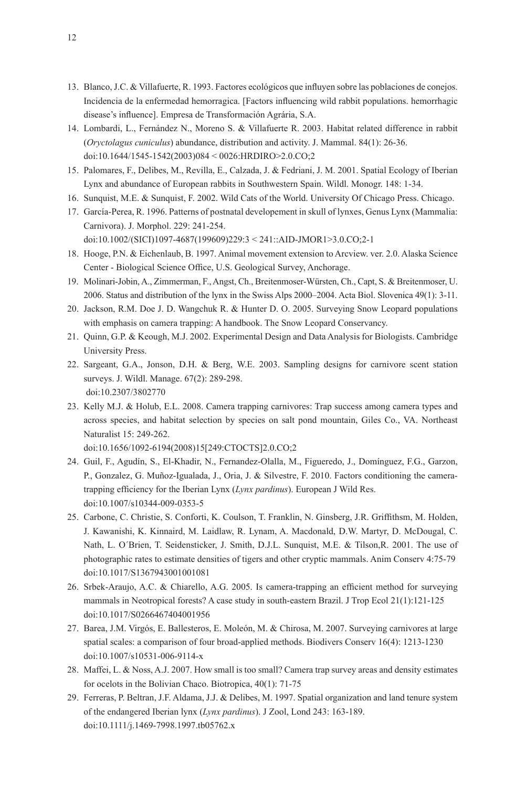- 13. Blanco, J.C. & Villafuerte, R. 1993. Factores ecológicos que influyen sobre las poblaciones de conejos. Incidencia de la enfermedad hemorragica. [Factors influencing wild rabbit populations. hemorrhagic disease's influence]. Empresa de Transformación Agrária, S.A.
- 14. Lombardi, L., Fernández N., Moreno S. & Villafuerte R. 2003. Habitat related difference in rabbit (*Oryctolagus cuniculus*) abundance, distribution and activity. J. Mammal. 84(1): 26-36. [doi:10.1644/1545-1542\(2003\)084 < 0026:HRDIRO>2.0.CO;](http://dx.doi.org/10.1644/1545-1542(2003)084<0026:HRDIRO)2
- 15. Palomares, F., Delibes, M., Revilla, E., Calzada, J. & Fedriani, J. M. 2001. Spatial Ecology of Iberian Lynx and abundance of European rabbits in Southwestern Spain. Wildl. Monogr. 148: 1-34.
- 16. Sunquist, M.E. & Sunquist, F. 2002. Wild Cats of the World. University Of Chicago Press. Chicago.
- 17. García-Perea, R. 1996. Patterns of postnatal developement in skull of lynxes, Genus Lynx (Mammalia: Carnivora). J. Morphol. 229: 241-254. [doi:10.1002/\(SICI\)1097-4687\(199609\)229:3 < 241::AID-JMOR1>3.0.CO;2-](http://dx.doi.org/10.1002/(SICI)1097-4687(199609)229:3<241::AID-JMOR1)1
- 18. Hooge, P.N. & Eichenlaub, B. 1997. Animal movement extension to Arcview. ver. 2.0. Alaska Science Center - Biological Science Office, U.S. Geological Survey, Anchorage.
- 19. Molinari-Jobin, A., Zimmerman, F., Angst, Ch., Breitenmoser-Würsten, Ch., Capt, S. & Breitenmoser, U. 2006. Status and distribution of the lynx in the Swiss Alps 2000–2004. Acta Biol. Slovenica 49(1): 3-11.
- 20. Jackson, R.M. Doe J. D. Wangchuk R. & Hunter D. O. 2005. Surveying Snow Leopard populations with emphasis on camera trapping: A handbook. The Snow Leopard Conservancy.
- 21. Quinn, G.P. & Keough, M.J. 2002. Experimental Design and Data Analysis for Biologists. Cambridge University Press.
- 22. Sargeant, G.A., Jonson, D.H. & Berg, W.E. 2003. Sampling designs for carnivore scent station surveys. J. Wildl. Manage. 67(2): 289-298. [doi:10.2307/3802770](http://dx.doi.org/10.2307/3802770)
- 23. Kelly M.J. & Holub, E.L. 2008. Camera trapping carnivores: Trap success among camera types and across species, and habitat selection by species on salt pond mountain, Giles Co., VA. Northeast Naturalist 15: 249-262.

[doi:10.1656/1092-6194\(2008\)15\[249:CTOCTS\]2.0.CO;](http://dx.doi.org/10.1656/1092-6194(2008)15%5B249:CTOCTS%5D2.0.CO;2)2

- 24. Guil, F., Agudín, S., El-Khadir, N., Fernandez-Olalla, M., Figueredo, J., Domínguez, F.G., Garzon, P., Gonzalez, G. Muñoz-Igualada, J., Oria, J. & Silvestre, F. 2010. Factors conditioning the cameratrapping efficiency for the Iberian Lynx (*Lynx pardinus*). European J Wild Res. [doi:10.1007/s10344-009-0353-](http://dx.doi.org/10.1007/s10344-009-0353-5)5
- 25. Carbone, C. Christie, S. Conforti, K. Coulson, T. Franklin, N. Ginsberg, J.R. Griffithsm, M. Holden, J. Kawanishi, K. Kinnaird, M. Laidlaw, R. Lynam, A. Macdonald, D.W. Martyr, D. McDougal, C. Nath, L. O´Brien, T. Seidensticker, J. Smith, D.J.L. Sunquist, M.E. & Tilson,R. 2001. The use of photographic rates to estimate densities of tigers and other cryptic mammals. Anim Conserv 4:75-79 [doi:10.1017/S136794300100108](http://dx.doi.org/10.1017/S1367943001001081)1
- 26. Srbek-Araujo, A.C. & Chiarello, A.G. 2005. Is camera-trapping an efficient method for surveying mammals in Neotropical forests? A case study in south-eastern Brazil. J Trop Ecol 21(1):121-125 [doi:10.1017/S026646740400195](http://dx.doi.org/10.1017/S0266467404001956)6
- 27. Barea, J.M. Virgós, E. Ballesteros, E. Moleón, M. & Chirosa, M. 2007. Surveying carnivores at large spatial scales: a comparison of four broad-applied methods. Biodivers Conserv 16(4): 1213-1230 [doi:10.1007/s10531-006-9114-](http://dx.doi.org/10.1007/s10531-006-9114-x)x
- 28. Maffei, L. & Noss, A.J. 2007. How small is too small? Camera trap survey areas and density estimates for ocelots in the Bolivian Chaco. Biotropica, 40(1): 71-75
- 29. Ferreras, P. Beltran, J.F. Aldama, J.J. & Delibes, M. 1997. Spatial organization and land tenure system of the endangered Iberian lynx (*Lynx pardinus*). J Zool, Lond 243: 163-189. [doi:10.1111/j.1469-7998.1997.tb05762.](http://dx.doi.org/10.1111/j.1469-7998.1997.tb05762.x)x